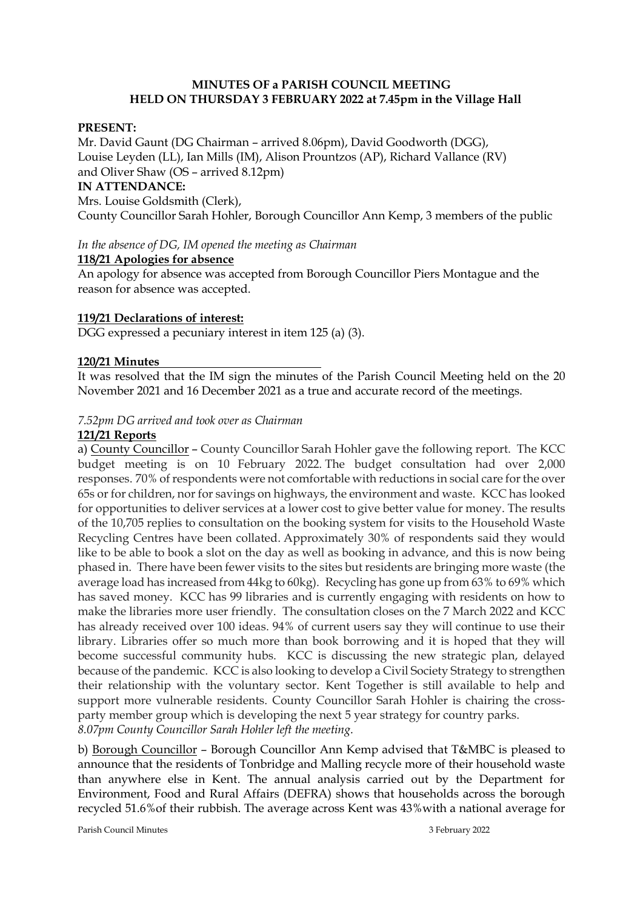## **MINUTES OF a PARISH COUNCIL MEETING HELD ON THURSDAY 3 FEBRUARY 2022 at 7.45pm in the Village Hall**

## **PRESENT:**

Mr. David Gaunt (DG Chairman – arrived 8.06pm), David Goodworth (DGG), Louise Leyden (LL), Ian Mills (IM), Alison Prountzos (AP), Richard Vallance (RV) and Oliver Shaw (OS – arrived 8.12pm) **IN ATTENDANCE:**  Mrs. Louise Goldsmith (Clerk), County Councillor Sarah Hohler, Borough Councillor Ann Kemp, 3 members of the public

*In the absence of DG, IM opened the meeting as Chairman*

## **118/21 Apologies for absence**

An apology for absence was accepted from Borough Councillor Piers Montague and the reason for absence was accepted.

## **119/21 Declarations of interest:**

DGG expressed a pecuniary interest in item 125 (a) (3).

## **120/21 Minutes**

It was resolved that the IM sign the minutes of the Parish Council Meeting held on the 20 November 2021 and 16 December 2021 as a true and accurate record of the meetings.

## *7.52pm DG arrived and took over as Chairman*

## **121/21 Reports**

a) County Councillor – County Councillor Sarah Hohler gave the following report. The KCC budget meeting is on 10 February 2022. The budget consultation had over 2,000 responses. 70% of respondents were not comfortable with reductions in social care for the over 65s or for children, nor for savings on highways, the environment and waste. KCC has looked for opportunities to deliver services at a lower cost to give better value for money. The results of the 10,705 replies to consultation on the booking system for visits to the Household Waste Recycling Centres have been collated. Approximately 30% of respondents said they would like to be able to book a slot on the day as well as booking in advance, and this is now being phased in. There have been fewer visits to the sites but residents are bringing more waste (the average load has increased from 44kg to 60kg). Recycling has gone up from 63% to 69% which has saved money. KCC has 99 libraries and is currently engaging with residents on how to make the libraries more user friendly. The consultation closes on the 7 March 2022 and KCC has already received over 100 ideas. 94% of current users say they will continue to use their library. Libraries offer so much more than book borrowing and it is hoped that they will become successful community hubs. KCC is discussing the new strategic plan, delayed because of the pandemic. KCC is also looking to develop a Civil Society Strategy to strengthen their relationship with the voluntary sector. Kent Together is still available to help and support more vulnerable residents. County Councillor Sarah Hohler is chairing the crossparty member group which is developing the next 5 year strategy for country parks. *8.07pm County Councillor Sarah Hohler left the meeting.*

b) Borough Councillor – Borough Councillor Ann Kemp advised that T&MBC is pleased to announce that the residents of Tonbridge and Malling recycle more of their household waste than anywhere else in Kent. The annual analysis carried out by the Department for Environment, Food and Rural Affairs (DEFRA) shows that households across the borough recycled 51.6%of their rubbish. The average across Kent was 43%with a national average for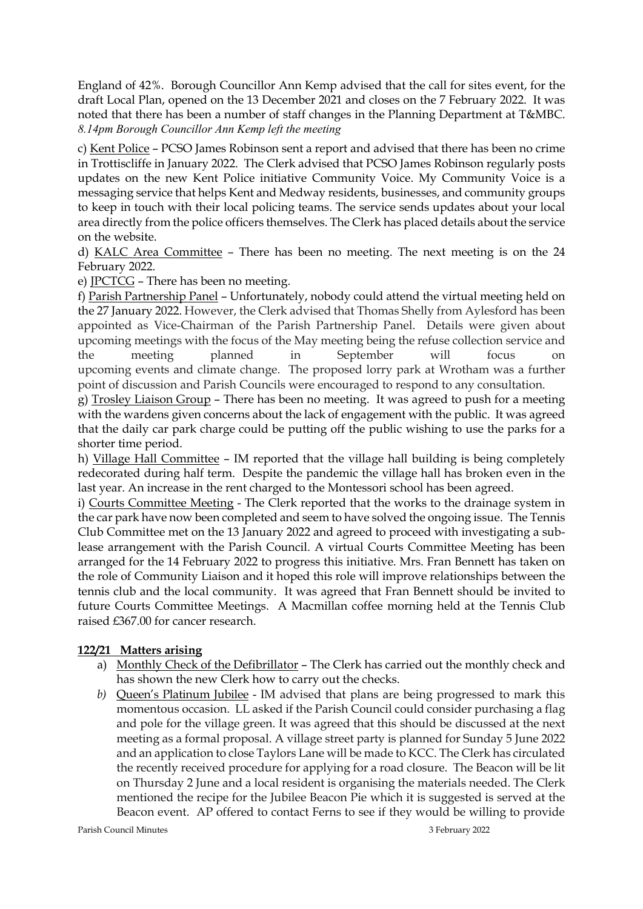England of 42%. Borough Councillor Ann Kemp advised that the call for sites event, for the draft Local Plan, opened on the 13 December 2021 and closes on the 7 February 2022. It was noted that there has been a number of staff changes in the Planning Department at T&MBC. *8.14pm Borough Councillor Ann Kemp left the meeting* 

c) Kent Police – PCSO James Robinson sent a report and advised that there has been no crime in Trottiscliffe in January 2022. The Clerk advised that PCSO James Robinson regularly posts updates on the new Kent Police initiative Community Voice. My Community Voice is a messaging service that helps Kent and Medway residents, businesses, and community groups to keep in touch with their local policing teams. The service sends updates about your local area directly from the police officers themselves. The Clerk has placed details about the service on the website.

d) KALC Area Committee – There has been no meeting. The next meeting is on the 24 February 2022.

e) JPCTCG – There has been no meeting.

f) Parish Partnership Panel – Unfortunately, nobody could attend the virtual meeting held on the 27 January 2022. However, the Clerk advised that Thomas Shelly from Aylesford has been appointed as Vice-Chairman of the Parish Partnership Panel. Details were given about upcoming meetings with the focus of the May meeting being the refuse collection service and the meeting planned in September will focus on upcoming events and climate change. The proposed lorry park at Wrotham was a further point of discussion and Parish Councils were encouraged to respond to any consultation.

g) Trosley Liaison Group – There has been no meeting. It was agreed to push for a meeting with the wardens given concerns about the lack of engagement with the public. It was agreed that the daily car park charge could be putting off the public wishing to use the parks for a shorter time period.

h) Village Hall Committee – IM reported that the village hall building is being completely redecorated during half term. Despite the pandemic the village hall has broken even in the last year. An increase in the rent charged to the Montessori school has been agreed.

i) Courts Committee Meeting - The Clerk reported that the works to the drainage system in the car park have now been completed and seem to have solved the ongoing issue. The Tennis Club Committee met on the 13 January 2022 and agreed to proceed with investigating a sublease arrangement with the Parish Council. A virtual Courts Committee Meeting has been arranged for the 14 February 2022 to progress this initiative. Mrs. Fran Bennett has taken on the role of Community Liaison and it hoped this role will improve relationships between the tennis club and the local community. It was agreed that Fran Bennett should be invited to future Courts Committee Meetings. A Macmillan coffee morning held at the Tennis Club raised £367.00 for cancer research.

## **122/21 Matters arising**

- a) Monthly Check of the Defibrillator The Clerk has carried out the monthly check and has shown the new Clerk how to carry out the checks.
- *b)* Queen's Platinum Jubilee IM advised that plans are being progressed to mark this momentous occasion. LL asked if the Parish Council could consider purchasing a flag and pole for the village green. It was agreed that this should be discussed at the next meeting as a formal proposal. A village street party is planned for Sunday 5 June 2022 and an application to close Taylors Lane will be made to KCC. The Clerk has circulated the recently received procedure for applying for a road closure. The Beacon will be lit on Thursday 2 June and a local resident is organising the materials needed. The Clerk mentioned the recipe for the Jubilee Beacon Pie which it is suggested is served at the Beacon event. AP offered to contact Ferns to see if they would be willing to provide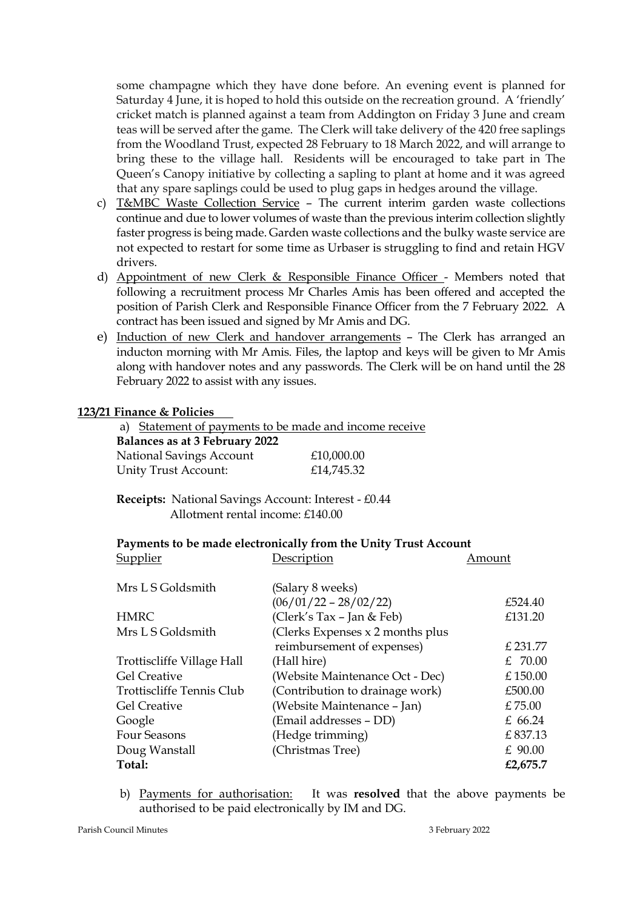some champagne which they have done before. An evening event is planned for Saturday 4 June, it is hoped to hold this outside on the recreation ground. A 'friendly' cricket match is planned against a team from Addington on Friday 3 June and cream teas will be served after the game. The Clerk will take delivery of the 420 free saplings from the Woodland Trust, expected 28 February to 18 March 2022, and will arrange to bring these to the village hall. Residents will be encouraged to take part in The Queen's Canopy initiative by collecting a sapling to plant at home and it was agreed that any spare saplings could be used to plug gaps in hedges around the village.

- c) T&MBC Waste Collection Service The current interim garden waste collections continue and due to lower volumes of waste than the previous interim collection slightly faster progress is being made. Garden waste collections and the bulky waste service are not expected to restart for some time as Urbaser is struggling to find and retain HGV drivers.
- d) Appointment of new Clerk & Responsible Finance Officer Members noted that following a recruitment process Mr Charles Amis has been offered and accepted the position of Parish Clerk and Responsible Finance Officer from the 7 February 2022. A contract has been issued and signed by Mr Amis and DG.
- e) Induction of new Clerk and handover arrangements The Clerk has arranged an inducton morning with Mr Amis. Files, the laptop and keys will be given to Mr Amis along with handover notes and any passwords. The Clerk will be on hand until the 28 February 2022 to assist with any issues.

#### **123/21 Finance & Policies**

a) Statement of payments to be made and income receive  **Balances as at 3 February 2022** National Savings Account £10,000.00 Unity Trust Account: £14,745.32

 **Receipts:** National Savings Account: Interest - £0.44 Allotment rental income: £140.00

#### **Payments to be made electronically from the Unity Trust Account**

Supplier Description Amount

| $\mathbf{u}$ $\mathbf{v}$ $\mathbf{v}$ $\mathbf{v}$ | D COCAP GOAL                     |           |
|-----------------------------------------------------|----------------------------------|-----------|
| Mrs L S Goldsmith                                   | (Salary 8 weeks)                 |           |
|                                                     | $(06/01/22 - 28/02/22)$          | £524.40   |
| <b>HMRC</b>                                         | (Clerk's Tax - Jan & Feb)        | £131.20   |
| Mrs L S Goldsmith                                   | (Clerks Expenses x 2 months plus |           |
|                                                     | reimbursement of expenses)       | £ 231.77  |
| Trottiscliffe Village Hall                          | (Hall hire)                      | £ $70.00$ |
| <b>Gel Creative</b>                                 | (Website Maintenance Oct - Dec)  | £150.00   |
| Trottiscliffe Tennis Club                           | (Contribution to drainage work)  | £500.00   |
| <b>Gel Creative</b>                                 | (Website Maintenance - Jan)      | £75.00    |
| Google                                              | (Email addresses – DD)           | £ 66.24   |
| <b>Four Seasons</b>                                 | (Hedge trimming)                 | £837.13   |
| Doug Wanstall                                       | (Christmas Tree)                 | $£$ 90.00 |
| Total:                                              |                                  | £2,675.7  |
|                                                     |                                  |           |

b) Payments for authorisation: It was **resolved** that the above payments be authorised to be paid electronically by IM and DG.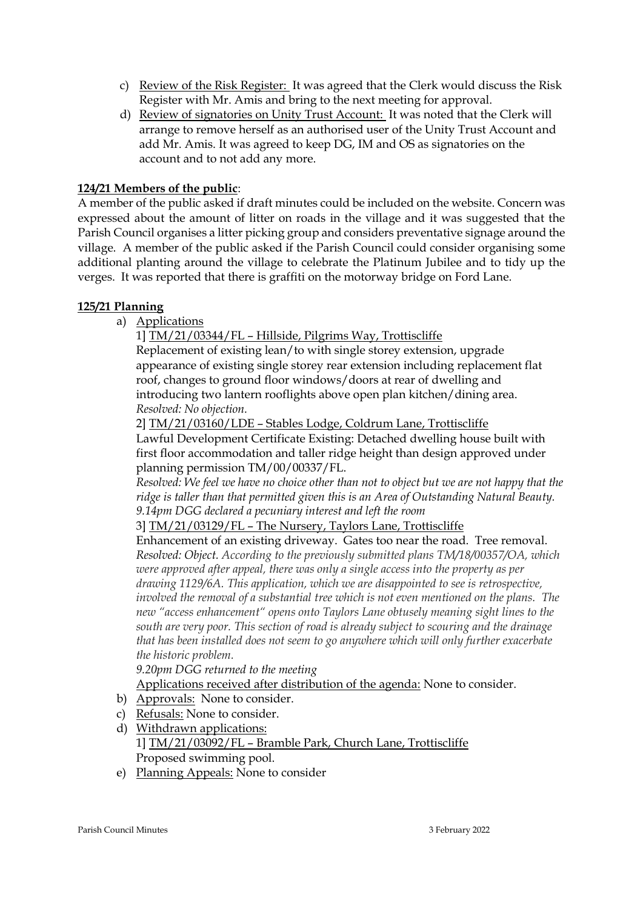- c) Review of the Risk Register: It was agreed that the Clerk would discuss the Risk Register with Mr. Amis and bring to the next meeting for approval.
- d) Review of signatories on Unity Trust Account: It was noted that the Clerk will arrange to remove herself as an authorised user of the Unity Trust Account and add Mr. Amis. It was agreed to keep DG, IM and OS as signatories on the account and to not add any more.

# **124/21 Members of the public**:

A member of the public asked if draft minutes could be included on the website. Concern was expressed about the amount of litter on roads in the village and it was suggested that the Parish Council organises a litter picking group and considers preventative signage around the village. A member of the public asked if the Parish Council could consider organising some additional planting around the village to celebrate the Platinum Jubilee and to tidy up the verges. It was reported that there is graffiti on the motorway bridge on Ford Lane.

# **125/21 Planning**

a) Applications

1] TM/21/03344/FL – Hillside, Pilgrims Way, Trottiscliffe

Replacement of existing lean/to with single storey extension, upgrade appearance of existing single storey rear extension including replacement flat roof, changes to ground floor windows/doors at rear of dwelling and introducing two lantern rooflights above open plan kitchen/dining area. *Resolved: No objection.*

2] TM/21/03160/LDE – Stables Lodge, Coldrum Lane, Trottiscliffe

Lawful Development Certificate Existing: Detached dwelling house built with first floor accommodation and taller ridge height than design approved under planning permission TM/00/00337/FL.

*Resolved: We feel we have no choice other than not to object but we are not happy that the ridge is taller than that permitted given this is an Area of Outstanding Natural Beauty. 9.14pm DGG declared a pecuniary interest and left the room*

3] TM/21/03129/FL – The Nursery, Taylors Lane, Trottiscliffe

Enhancement of an existing driveway. Gates too near the road. Tree removal. *Resolved: Object. According to the previously submitted plans TM/18/00357/OA, which were approved after appeal, there was only a single access into the property as per drawing 1129/6A. This application, which we are disappointed to see is retrospective, involved the removal of a substantial tree which is not even mentioned on the plans. The new "access enhancement" opens onto Taylors Lane obtusely meaning sight lines to the south are very poor. This section of road is already subject to scouring and the drainage that has been installed does not seem to go anywhere which will only further exacerbate the historic problem.* 

*9.20pm DGG returned to the meeting*

Applications received after distribution of the agenda: None to consider.

- b) Approvals: None to consider.
- c) Refusals: None to consider.
- d) Withdrawn applications:

1] TM/21/03092/FL – Bramble Park, Church Lane, Trottiscliffe Proposed swimming pool.

e) Planning Appeals: None to consider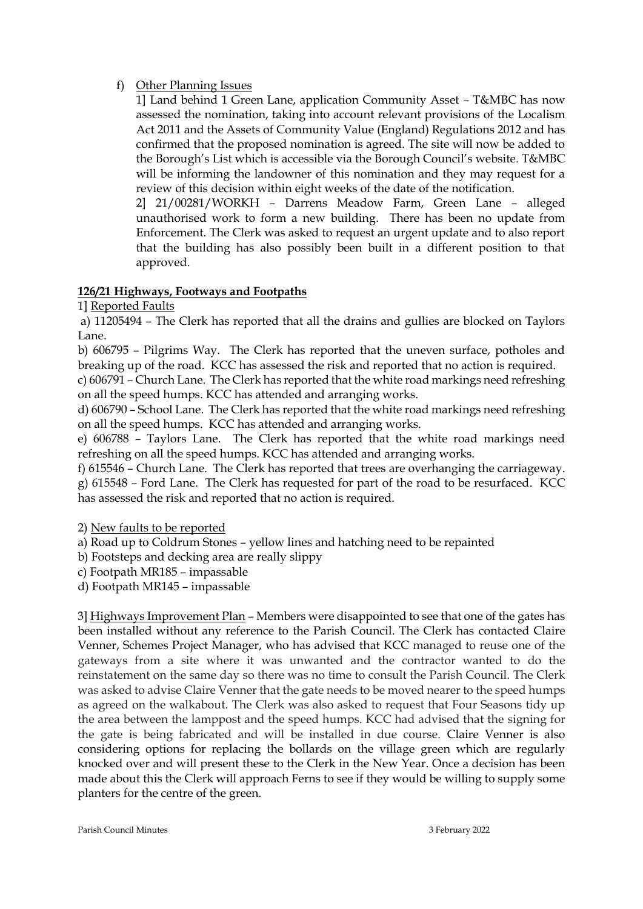# f) Other Planning Issues

1] Land behind 1 Green Lane, application Community Asset – T&MBC has now assessed the nomination, taking into account relevant provisions of the Localism Act 2011 and the Assets of Community Value (England) Regulations 2012 and has confirmed that the proposed nomination is agreed. The site will now be added to the Borough's List which is accessible via the Borough Council's website. T&MBC will be informing the landowner of this nomination and they may request for a review of this decision within eight weeks of the date of the notification.

2] 21/00281/WORKH – Darrens Meadow Farm, Green Lane – alleged unauthorised work to form a new building. There has been no update from Enforcement. The Clerk was asked to request an urgent update and to also report that the building has also possibly been built in a different position to that approved.

# **126/21 Highways, Footways and Footpaths**

1] Reported Faults

a) 11205494 – The Clerk has reported that all the drains and gullies are blocked on Taylors Lane.

b) 606795 – Pilgrims Way. The Clerk has reported that the uneven surface, potholes and breaking up of the road. KCC has assessed the risk and reported that no action is required.

c) 606791 – Church Lane. The Clerk has reported that the white road markings need refreshing on all the speed humps. KCC has attended and arranging works.

d) 606790 – School Lane. The Clerk has reported that the white road markings need refreshing on all the speed humps. KCC has attended and arranging works.

e) 606788 – Taylors Lane. The Clerk has reported that the white road markings need refreshing on all the speed humps. KCC has attended and arranging works.

f) 615546 – Church Lane. The Clerk has reported that trees are overhanging the carriageway. g) 615548 – Ford Lane. The Clerk has requested for part of the road to be resurfaced. KCC has assessed the risk and reported that no action is required.

2) New faults to be reported

a) Road up to Coldrum Stones – yellow lines and hatching need to be repainted

b) Footsteps and decking area are really slippy

c) Footpath MR185 – impassable

d) Footpath MR145 – impassable

3] Highways Improvement Plan – Members were disappointed to see that one of the gates has been installed without any reference to the Parish Council. The Clerk has contacted Claire Venner, Schemes Project Manager, who has advised that KCC managed to reuse one of the gateways from a site where it was unwanted and the contractor wanted to do the reinstatement on the same day so there was no time to consult the Parish Council. The Clerk was asked to advise Claire Venner that the gate needs to be moved nearer to the speed humps as agreed on the walkabout. The Clerk was also asked to request that Four Seasons tidy up the area between the lamppost and the speed humps. KCC had advised that the signing for the gate is being fabricated and will be installed in due course. Claire Venner is also considering options for replacing the bollards on the village green which are regularly knocked over and will present these to the Clerk in the New Year. Once a decision has been made about this the Clerk will approach Ferns to see if they would be willing to supply some planters for the centre of the green.